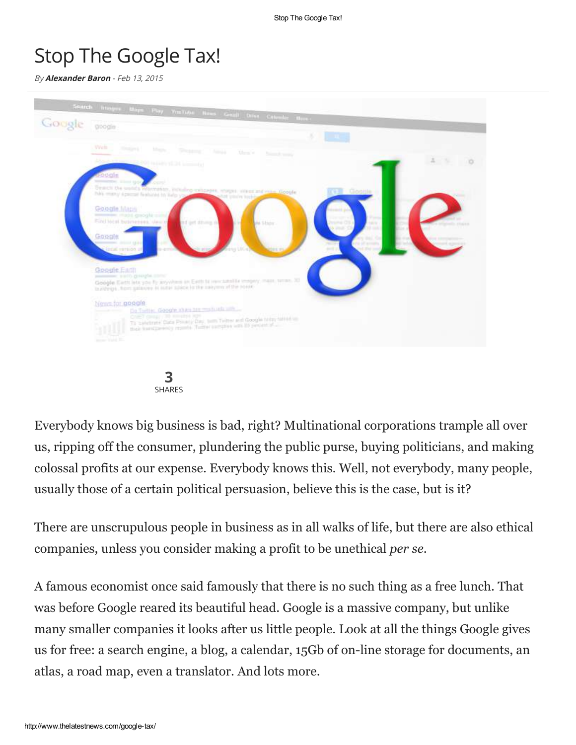## Stop The Google Tax!

By **[Alexander](http://www.thelatestnews.com/author/alexander/) Baron** - Feb 13, 2015





Everybody knows big business is bad, right? Multinational corporations trample all over us, ripping off the consumer, plundering the public purse, buying politicians, and making colossal profits at our expense. Everybody knows this. Well, not everybody, many people, usually those of a certain political persuasion, believe this is the case, but is it?

There are unscrupulous people in business as in all walks of life, but there are also ethical companies, unless you consider making a profit to be unethical *per se*.

A famous economist once said famously that there is no such thing as a free lunch. That was before Google reared its beautiful head. Google is a massive company, but unlike many smaller companies it looks after us little people. Look at all the things Google gives us for free: a search engine, a blog, a calendar, 15Gb of on-line storage for documents, an atlas, a road map, even a translator. And lots more.